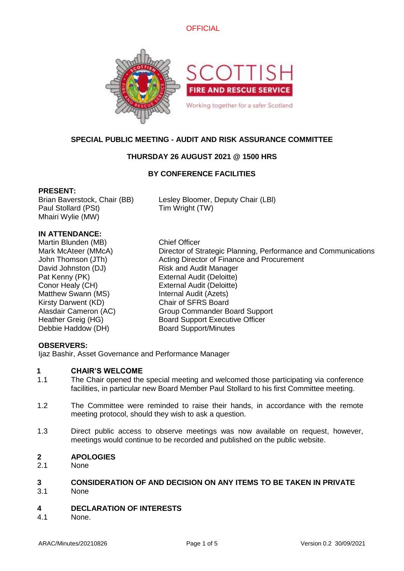



### **SPECIAL PUBLIC MEETING - AUDIT AND RISK ASSURANCE COMMITTEE**

### **THURSDAY 26 AUGUST 2021 @ 1500 HRS**

### **BY CONFERENCE FACILITIES**

### **PRESENT:**

Paul Stollard (PSt) Tim Wright (TW) Mhairi Wylie (MW)

Brian Baverstock, Chair (BB) Lesley Bloomer, Deputy Chair (LBl)

### **IN ATTENDANCE:**

Martin Blunden (MB) Chief Officer David Johnston (DJ) Risk and Audit Manager Pat Kenny (PK) External Audit (Deloitte) Conor Healy (CH) External Audit (Deloitte) Matthew Swann (MS) Internal Audit (Azets) Kirsty Darwent (KD) Chair of SFRS Board Debbie Haddow (DH) Board Support/Minutes

Mark McAteer (MMcA) Director of Strategic Planning, Performance and Communications John Thomson (JTh) Acting Director of Finance and Procurement Alasdair Cameron (AC) Group Commander Board Support Heather Greig (HG) Board Support Executive Officer

### **OBSERVERS:**

Ijaz Bashir, Asset Governance and Performance Manager

### **1 CHAIR'S WELCOME**

- 1.1 The Chair opened the special meeting and welcomed those participating via conference facilities, in particular new Board Member Paul Stollard to his first Committee meeting.
- 1.2 The Committee were reminded to raise their hands, in accordance with the remote meeting protocol, should they wish to ask a question.
- 1.3 Direct public access to observe meetings was now available on request, however, meetings would continue to be recorded and published on the public website.

### **2 APOLOGIES**

2.1 None

# **3 CONSIDERATION OF AND DECISION ON ANY ITEMS TO BE TAKEN IN PRIVATE**

3.1 None

#### **4 DECLARATION OF INTERESTS**

4.1 None.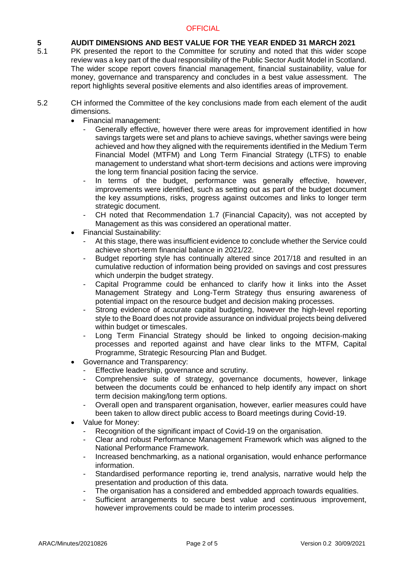### **OFFICIAL**

### **5 AUDIT DIMENSIONS AND BEST VALUE FOR THE YEAR ENDED 31 MARCH 2021**

- 5.1 PK presented the report to the Committee for scrutiny and noted that this wider scope review was a key part of the dual responsibility of the Public Sector Audit Model in Scotland. The wider scope report covers financial management, financial sustainability, value for money, governance and transparency and concludes in a best value assessment. The report highlights several positive elements and also identifies areas of improvement.
- 5.2 CH informed the Committee of the key conclusions made from each element of the audit dimensions.
	- Financial management:
		- Generally effective, however there were areas for improvement identified in how savings targets were set and plans to achieve savings, whether savings were being achieved and how they aligned with the requirements identified in the Medium Term Financial Model (MTFM) and Long Term Financial Strategy (LTFS) to enable management to understand what short-term decisions and actions were improving the long term financial position facing the service.
		- In terms of the budget, performance was generally effective, however, improvements were identified, such as setting out as part of the budget document the key assumptions, risks, progress against outcomes and links to longer term strategic document.
		- CH noted that Recommendation 1.7 (Financial Capacity), was not accepted by Management as this was considered an operational matter.
	- Financial Sustainability:
		- At this stage, there was insufficient evidence to conclude whether the Service could achieve short-term financial balance in 2021/22.
		- Budget reporting style has continually altered since 2017/18 and resulted in an cumulative reduction of information being provided on savings and cost pressures which underpin the budget strategy.
		- Capital Programme could be enhanced to clarify how it links into the Asset Management Strategy and Long-Term Strategy thus ensuring awareness of potential impact on the resource budget and decision making processes.
		- Strong evidence of accurate capital budgeting, however the high-level reporting style to the Board does not provide assurance on individual projects being delivered within budget or timescales.
		- Long Term Financial Strategy should be linked to ongoing decision-making processes and reported against and have clear links to the MTFM, Capital Programme, Strategic Resourcing Plan and Budget.
	- Governance and Transparency:
		- Effective leadership, governance and scrutiny.
		- Comprehensive suite of strategy, governance documents, however, linkage between the documents could be enhanced to help identify any impact on short term decision making/long term options.
		- Overall open and transparent organisation, however, earlier measures could have been taken to allow direct public access to Board meetings during Covid-19.
	- Value for Money:
		- Recognition of the significant impact of Covid-19 on the organisation.
		- Clear and robust Performance Management Framework which was aligned to the National Performance Framework.
		- Increased benchmarking, as a national organisation, would enhance performance information.
		- Standardised performance reporting ie, trend analysis, narrative would help the presentation and production of this data.
		- The organisation has a considered and embedded approach towards equalities.
		- Sufficient arrangements to secure best value and continuous improvement, however improvements could be made to interim processes.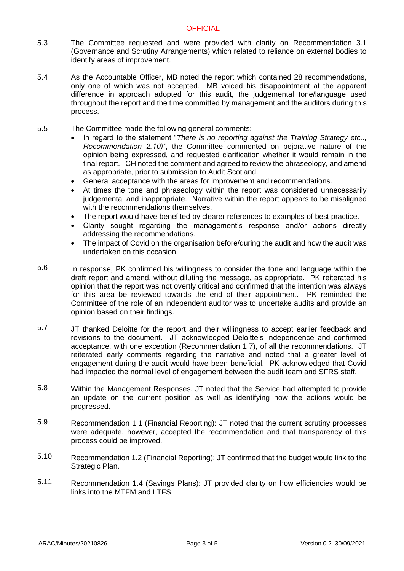- 5.3 The Committee requested and were provided with clarity on Recommendation 3.1 (Governance and Scrutiny Arrangements) which related to reliance on external bodies to identify areas of improvement.
- 5.4 As the Accountable Officer, MB noted the report which contained 28 recommendations, only one of which was not accepted. MB voiced his disappointment at the apparent difference in approach adopted for this audit, the judgemental tone/language used throughout the report and the time committed by management and the auditors during this process.
- 5.5 The Committee made the following general comments:
	- In regard to the statement "*There is no reporting against the Training Strategy etc.., Recommendation 2.10)"*, the Committee commented on pejorative nature of the opinion being expressed, and requested clarification whether it would remain in the final report. CH noted the comment and agreed to review the phraseology, and amend as appropriate, prior to submission to Audit Scotland.
	- General acceptance with the areas for improvement and recommendations.
	- At times the tone and phraseology within the report was considered unnecessarily judgemental and inappropriate. Narrative within the report appears to be misaligned with the recommendations themselves.
	- The report would have benefited by clearer references to examples of best practice.
	- Clarity sought regarding the management's response and/or actions directly addressing the recommendations.
	- The impact of Covid on the organisation before/during the audit and how the audit was undertaken on this occasion.
- 5.6 In response, PK confirmed his willingness to consider the tone and language within the draft report and amend, without diluting the message, as appropriate. PK reiterated his opinion that the report was not overtly critical and confirmed that the intention was always for this area be reviewed towards the end of their appointment. PK reminded the Committee of the role of an independent auditor was to undertake audits and provide an opinion based on their findings.
- 5.7 JT thanked Deloitte for the report and their willingness to accept earlier feedback and revisions to the document. JT acknowledged Deloitte's independence and confirmed acceptance, with one exception (Recommendation 1.7), of all the recommendations. JT reiterated early comments regarding the narrative and noted that a greater level of engagement during the audit would have been beneficial. PK acknowledged that Covid had impacted the normal level of engagement between the audit team and SFRS staff.
- 5.8 Within the Management Responses, JT noted that the Service had attempted to provide an update on the current position as well as identifying how the actions would be progressed.
- 5.9 Recommendation 1.1 (Financial Reporting): JT noted that the current scrutiny processes were adequate, however, accepted the recommendation and that transparency of this process could be improved.
- 5.10 Recommendation 1.2 (Financial Reporting): JT confirmed that the budget would link to the Strategic Plan.
- 5.11 Recommendation 1.4 (Savings Plans): JT provided clarity on how efficiencies would be links into the MTFM and LTFS.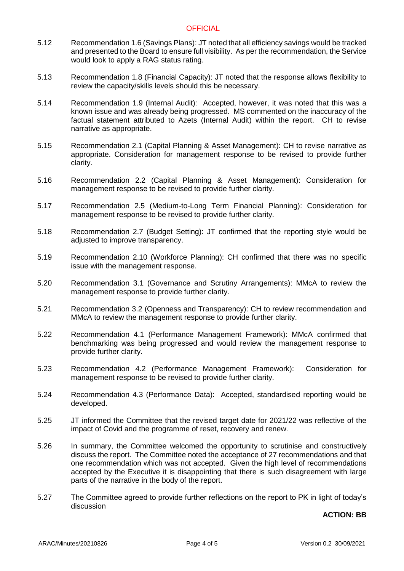### **OFFICIAL**

- 5.12 Recommendation 1.6 (Savings Plans): JT noted that all efficiency savings would be tracked and presented to the Board to ensure full visibility. As per the recommendation, the Service would look to apply a RAG status rating.
- 5.13 Recommendation 1.8 (Financial Capacity): JT noted that the response allows flexibility to review the capacity/skills levels should this be necessary.
- 5.14 Recommendation 1.9 (Internal Audit): Accepted, however, it was noted that this was a known issue and was already being progressed. MS commented on the inaccuracy of the factual statement attributed to Azets (Internal Audit) within the report. CH to revise narrative as appropriate.
- 5.15 Recommendation 2.1 (Capital Planning & Asset Management): CH to revise narrative as appropriate. Consideration for management response to be revised to provide further clarity.
- 5.16 Recommendation 2.2 (Capital Planning & Asset Management): Consideration for management response to be revised to provide further clarity.
- 5.17 Recommendation 2.5 (Medium-to-Long Term Financial Planning): Consideration for management response to be revised to provide further clarity.
- 5.18 Recommendation 2.7 (Budget Setting): JT confirmed that the reporting style would be adjusted to improve transparency.
- 5.19 Recommendation 2.10 (Workforce Planning): CH confirmed that there was no specific issue with the management response.
- 5.20 Recommendation 3.1 (Governance and Scrutiny Arrangements): MMcA to review the management response to provide further clarity.
- 5.21 Recommendation 3.2 (Openness and Transparency): CH to review recommendation and MMcA to review the management response to provide further clarity.
- 5.22 Recommendation 4.1 (Performance Management Framework): MMcA confirmed that benchmarking was being progressed and would review the management response to provide further clarity.
- 5.23 Recommendation 4.2 (Performance Management Framework): Consideration for management response to be revised to provide further clarity.
- 5.24 Recommendation 4.3 (Performance Data): Accepted, standardised reporting would be developed.
- 5.25 JT informed the Committee that the revised target date for 2021/22 was reflective of the impact of Covid and the programme of reset, recovery and renew.
- 5.26 In summary, the Committee welcomed the opportunity to scrutinise and constructively discuss the report. The Committee noted the acceptance of 27 recommendations and that one recommendation which was not accepted. Given the high level of recommendations accepted by the Executive it is disappointing that there is such disagreement with large parts of the narrative in the body of the report.
- 5.27 The Committee agreed to provide further reflections on the report to PK in light of today's discussion

### **ACTION: BB**